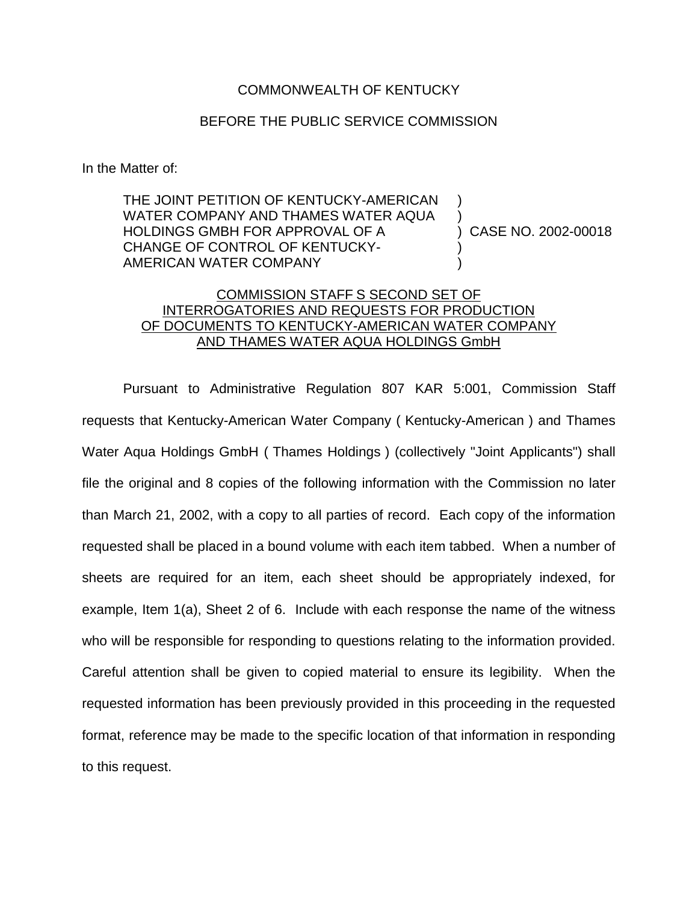## COMMONWEALTH OF KENTUCKY

## BEFORE THE PUBLIC SERVICE COMMISSION

In the Matter of:

THE JOINT PETITION OF KENTUCKY-AMERICAN WATER COMPANY AND THAMES WATER AQUA HOLDINGS GMBH FOR APPROVAL OF A CHANGE OF CONTROL OF KENTUCKY-AMERICAN WATER COMPANY ) ) ) )

) CASE NO. 2002-00018

## COMMISSION STAFF S SECOND SET OF INTERROGATORIES AND REQUESTS FOR PRODUCTION OF DOCUMENTS TO KENTUCKY-AMERICAN WATER COMPANY AND THAMES WATER AQUA HOLDINGS GmbH

Pursuant to Administrative Regulation 807 KAR 5:001, Commission Staff requests that Kentucky-American Water Company ( Kentucky-American ) and Thames Water Aqua Holdings GmbH ( Thames Holdings ) (collectively "Joint Applicants") shall file the original and 8 copies of the following information with the Commission no later than March 21, 2002, with a copy to all parties of record. Each copy of the information requested shall be placed in a bound volume with each item tabbed. When a number of sheets are required for an item, each sheet should be appropriately indexed, for example, Item 1(a), Sheet 2 of 6. Include with each response the name of the witness who will be responsible for responding to questions relating to the information provided. Careful attention shall be given to copied material to ensure its legibility. When the requested information has been previously provided in this proceeding in the requested format, reference may be made to the specific location of that information in responding to this request.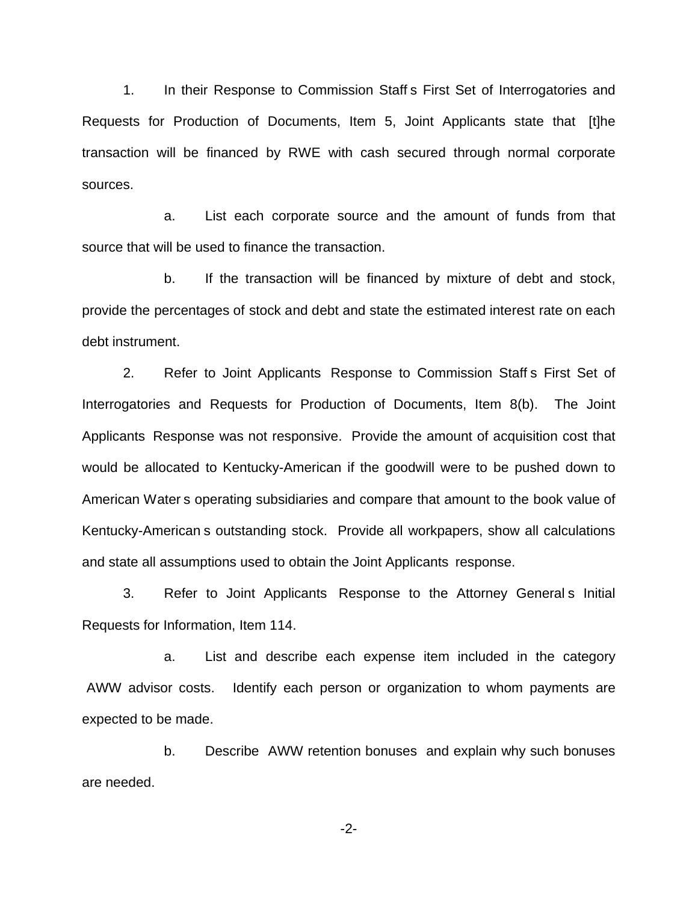1. In their Response to Commission Staff s First Set of Interrogatories and Requests for Production of Documents, Item 5, Joint Applicants state that [t]he transaction will be financed by RWE with cash secured through normal corporate sources.

a. List each corporate source and the amount of funds from that source that will be used to finance the transaction.

b. If the transaction will be financed by mixture of debt and stock, provide the percentages of stock and debt and state the estimated interest rate on each debt instrument.

2. Refer to Joint Applicants Response to Commission Staff s First Set of Interrogatories and Requests for Production of Documents, Item 8(b). The Joint Applicants Response was not responsive. Provide the amount of acquisition cost that would be allocated to Kentucky-American if the goodwill were to be pushed down to American Water s operating subsidiaries and compare that amount to the book value of Kentucky-American s outstanding stock. Provide all workpapers, show all calculations and state all assumptions used to obtain the Joint Applicants response.

3. Refer to Joint Applicants Response to the Attorney General s Initial Requests for Information, Item 114.

a. List and describe each expense item included in the category AWW advisor costs. Identify each person or organization to whom payments are expected to be made.

b. Describe AWW retention bonuses and explain why such bonuses are needed.

-2-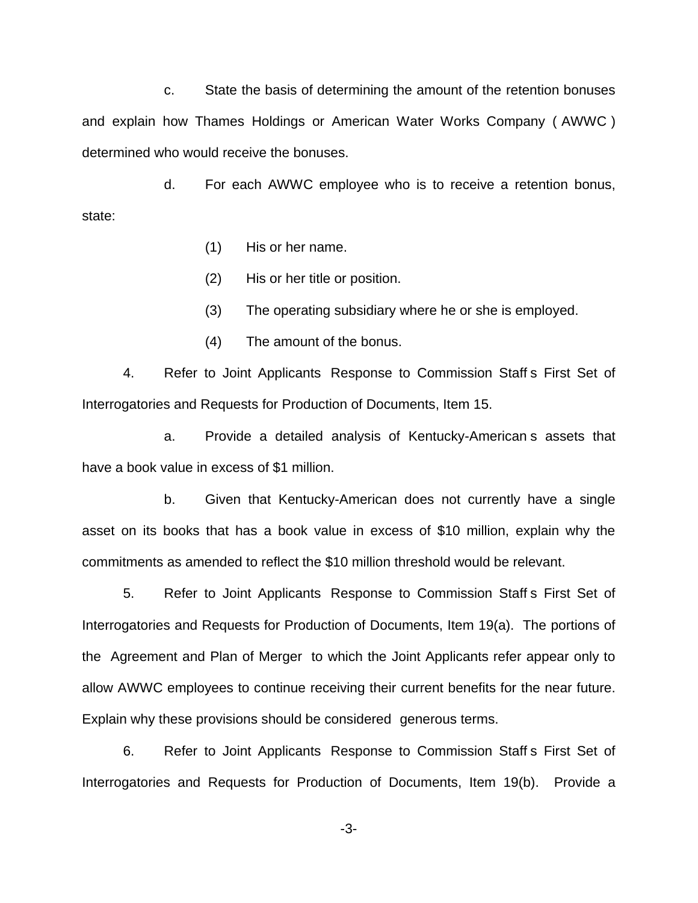c. State the basis of determining the amount of the retention bonuses and explain how Thames Holdings or American Water Works Company ( AWWC ) determined who would receive the bonuses.

d. For each AWWC employee who is to receive a retention bonus, state:

(1) His or her name.

(2) His or her title or position.

- (3) The operating subsidiary where he or she is employed.
- (4) The amount of the bonus.

4. Refer to Joint Applicants Response to Commission Staff s First Set of Interrogatories and Requests for Production of Documents, Item 15.

a. Provide a detailed analysis of Kentucky-American s assets that have a book value in excess of \$1 million.

b. Given that Kentucky-American does not currently have a single asset on its books that has a book value in excess of \$10 million, explain why the commitments as amended to reflect the \$10 million threshold would be relevant.

5. Refer to Joint Applicants Response to Commission Staff s First Set of Interrogatories and Requests for Production of Documents, Item 19(a). The portions of the Agreement and Plan of Merger to which the Joint Applicants refer appear only to allow AWWC employees to continue receiving their current benefits for the near future. Explain why these provisions should be considered generous terms.

6. Refer to Joint Applicants Response to Commission Staff s First Set of Interrogatories and Requests for Production of Documents, Item 19(b). Provide a

-3-